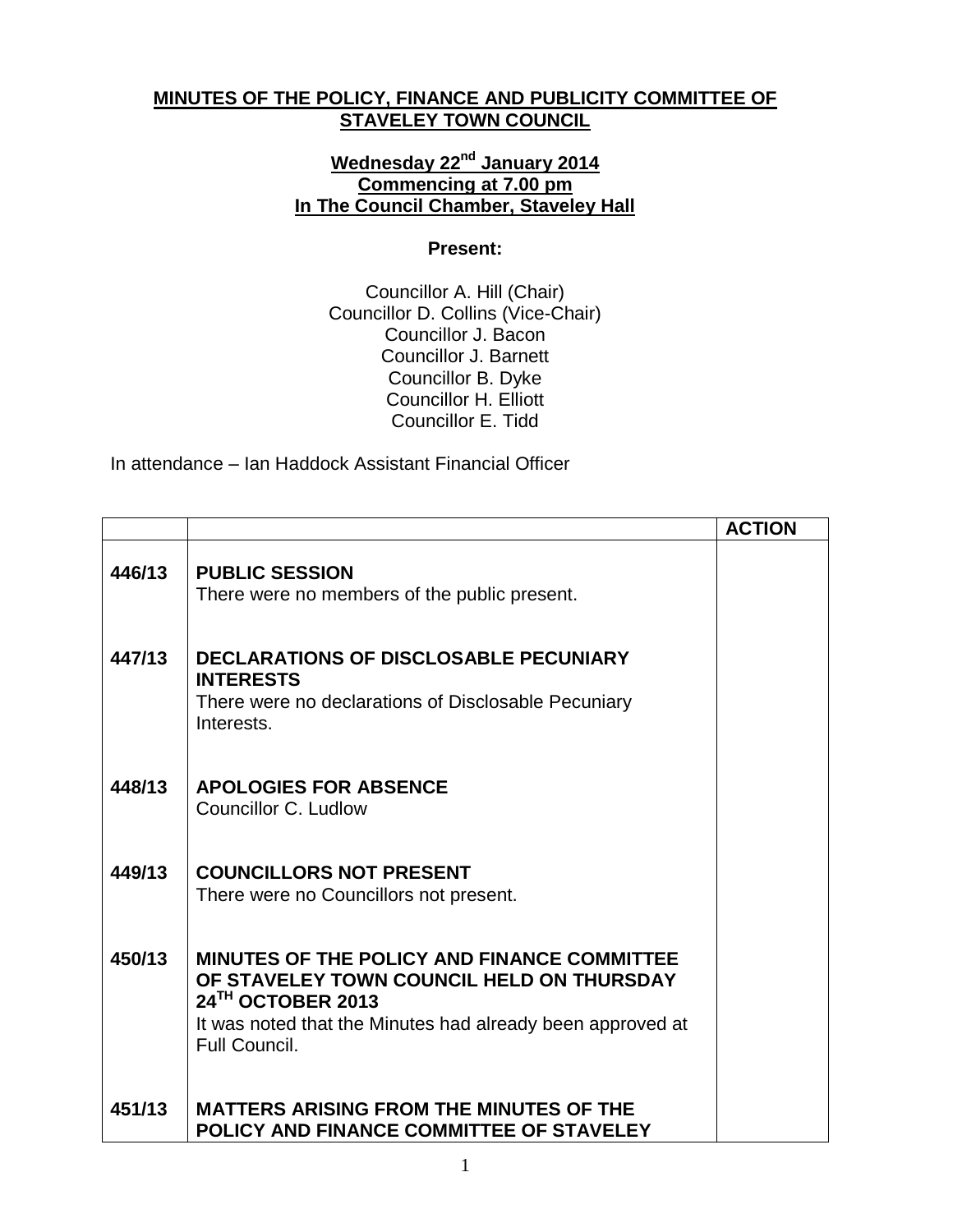## **MINUTES OF THE POLICY, FINANCE AND PUBLICITY COMMITTEE OF STAVELEY TOWN COUNCIL**

## **Wednesday 22 nd January 2014 Commencing at 7.00 pm In The Council Chamber, Staveley Hall**

## **Present:**

Councillor A. Hill (Chair) Councillor D. Collins (Vice-Chair) Councillor J. Bacon Councillor J. Barnett Councillor B. Dyke Councillor H. Elliott Councillor E. Tidd

In attendance – Ian Haddock Assistant Financial Officer

|        |                                                                                                                                                                                                     | <b>ACTION</b> |
|--------|-----------------------------------------------------------------------------------------------------------------------------------------------------------------------------------------------------|---------------|
| 446/13 | <b>PUBLIC SESSION</b><br>There were no members of the public present.                                                                                                                               |               |
| 447/13 | <b>DECLARATIONS OF DISCLOSABLE PECUNIARY</b><br><b>INTERESTS</b><br>There were no declarations of Disclosable Pecuniary<br>Interests.                                                               |               |
| 448/13 | <b>APOLOGIES FOR ABSENCE</b><br>Councillor C. Ludlow                                                                                                                                                |               |
| 449/13 | <b>COUNCILLORS NOT PRESENT</b><br>There were no Councillors not present.                                                                                                                            |               |
| 450/13 | <b>MINUTES OF THE POLICY AND FINANCE COMMITTEE</b><br>OF STAVELEY TOWN COUNCIL HELD ON THURSDAY<br>24TH OCTOBER 2013<br>It was noted that the Minutes had already been approved at<br>Full Council. |               |
| 451/13 | <b>MATTERS ARISING FROM THE MINUTES OF THE</b><br>POLICY AND FINANCE COMMITTEE OF STAVELEY                                                                                                          |               |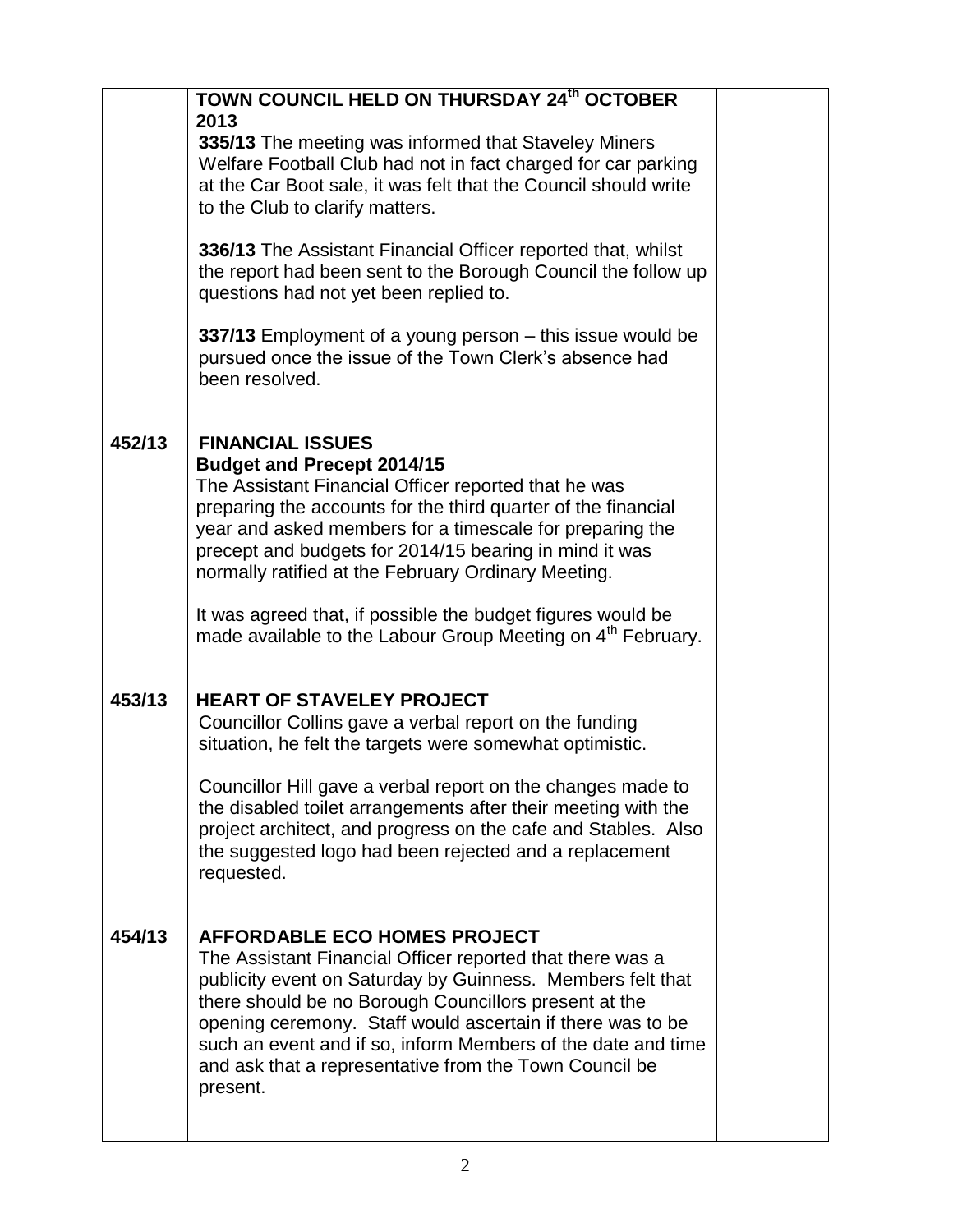|        | TOWN COUNCIL HELD ON THURSDAY 24th OCTOBER<br>2013<br>335/13 The meeting was informed that Staveley Miners<br>Welfare Football Club had not in fact charged for car parking<br>at the Car Boot sale, it was felt that the Council should write<br>to the Club to clarify matters.                                                                                                                                           |  |
|--------|-----------------------------------------------------------------------------------------------------------------------------------------------------------------------------------------------------------------------------------------------------------------------------------------------------------------------------------------------------------------------------------------------------------------------------|--|
|        | 336/13 The Assistant Financial Officer reported that, whilst<br>the report had been sent to the Borough Council the follow up<br>questions had not yet been replied to.                                                                                                                                                                                                                                                     |  |
|        | 337/13 Employment of a young person – this issue would be<br>pursued once the issue of the Town Clerk's absence had<br>been resolved.                                                                                                                                                                                                                                                                                       |  |
| 452/13 | <b>FINANCIAL ISSUES</b><br><b>Budget and Precept 2014/15</b><br>The Assistant Financial Officer reported that he was<br>preparing the accounts for the third quarter of the financial<br>year and asked members for a timescale for preparing the<br>precept and budgets for 2014/15 bearing in mind it was<br>normally ratified at the February Ordinary Meeting.                                                          |  |
|        | It was agreed that, if possible the budget figures would be<br>made available to the Labour Group Meeting on 4 <sup>th</sup> February.                                                                                                                                                                                                                                                                                      |  |
| 453/13 | <b>HEART OF STAVELEY PROJECT</b><br>Councillor Collins gave a verbal report on the funding<br>situation, he felt the targets were somewhat optimistic.<br>Councillor Hill gave a verbal report on the changes made to                                                                                                                                                                                                       |  |
|        | the disabled toilet arrangements after their meeting with the<br>project architect, and progress on the cafe and Stables. Also<br>the suggested logo had been rejected and a replacement<br>requested.                                                                                                                                                                                                                      |  |
| 454/13 | <b>AFFORDABLE ECO HOMES PROJECT</b><br>The Assistant Financial Officer reported that there was a<br>publicity event on Saturday by Guinness. Members felt that<br>there should be no Borough Councillors present at the<br>opening ceremony. Staff would ascertain if there was to be<br>such an event and if so, inform Members of the date and time<br>and ask that a representative from the Town Council be<br>present. |  |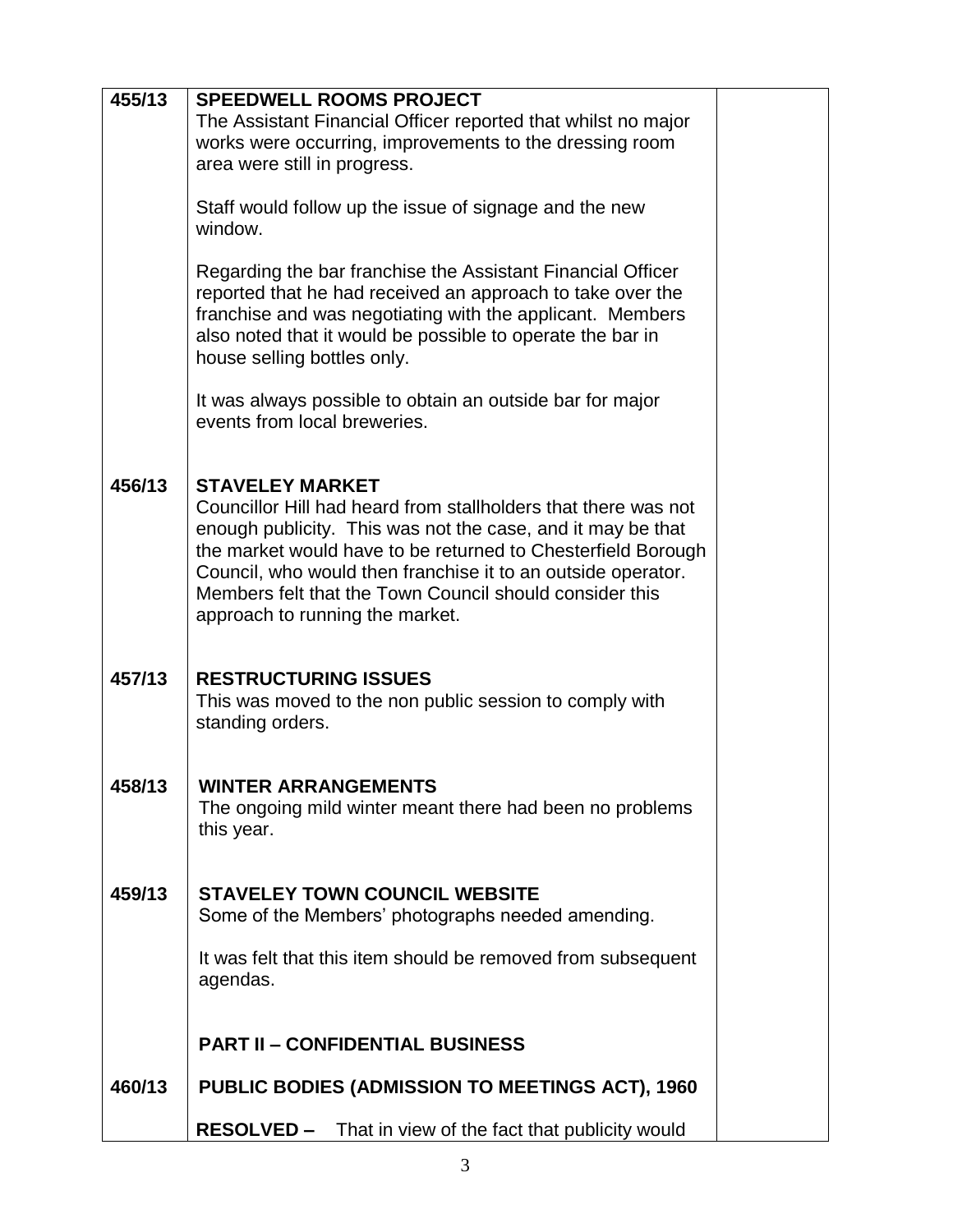| 455/13 | <b>SPEEDWELL ROOMS PROJECT</b>                                                            |  |
|--------|-------------------------------------------------------------------------------------------|--|
|        | The Assistant Financial Officer reported that whilst no major                             |  |
|        | works were occurring, improvements to the dressing room                                   |  |
|        | area were still in progress.                                                              |  |
|        |                                                                                           |  |
|        | Staff would follow up the issue of signage and the new<br>window.                         |  |
|        |                                                                                           |  |
|        | Regarding the bar franchise the Assistant Financial Officer                               |  |
|        | reported that he had received an approach to take over the                                |  |
|        | franchise and was negotiating with the applicant. Members                                 |  |
|        | also noted that it would be possible to operate the bar in<br>house selling bottles only. |  |
|        |                                                                                           |  |
|        | It was always possible to obtain an outside bar for major                                 |  |
|        | events from local breweries.                                                              |  |
|        |                                                                                           |  |
| 456/13 | <b>STAVELEY MARKET</b>                                                                    |  |
|        | Councillor Hill had heard from stallholders that there was not                            |  |
|        | enough publicity. This was not the case, and it may be that                               |  |
|        | the market would have to be returned to Chesterfield Borough                              |  |
|        | Council, who would then franchise it to an outside operator.                              |  |
|        | Members felt that the Town Council should consider this                                   |  |
|        | approach to running the market.                                                           |  |
|        |                                                                                           |  |
| 457/13 | <b>RESTRUCTURING ISSUES</b>                                                               |  |
|        | This was moved to the non public session to comply with                                   |  |
|        | standing orders.                                                                          |  |
|        |                                                                                           |  |
| 458/13 | <b>WINTER ARRANGEMENTS</b>                                                                |  |
|        | The ongoing mild winter meant there had been no problems                                  |  |
|        | this year.                                                                                |  |
|        |                                                                                           |  |
| 459/13 | <b>STAVELEY TOWN COUNCIL WEBSITE</b>                                                      |  |
|        | Some of the Members' photographs needed amending.                                         |  |
|        |                                                                                           |  |
|        | It was felt that this item should be removed from subsequent                              |  |
|        | agendas.                                                                                  |  |
|        |                                                                                           |  |
|        | <b>PART II - CONFIDENTIAL BUSINESS</b>                                                    |  |
| 460/13 | PUBLIC BODIES (ADMISSION TO MEETINGS ACT), 1960                                           |  |
|        |                                                                                           |  |
|        | <b>RESOLVED –</b><br>That in view of the fact that publicity would                        |  |